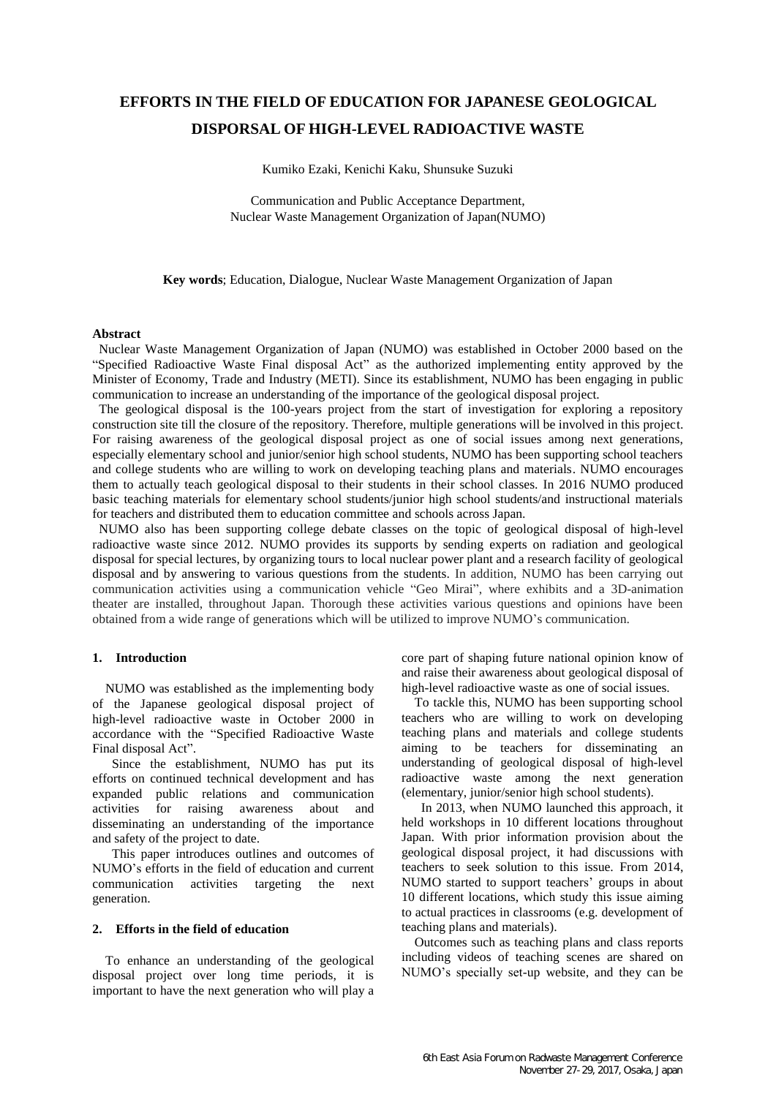# **EFFORTS IN THE FIELD OF EDUCATION FOR JAPANESE GEOLOGICAL DISPORSAL OF HIGH-LEVEL RADIOACTIVE WASTE**

Kumiko Ezaki, Kenichi Kaku, Shunsuke Suzuki

Communication and Public Acceptance Department, Nuclear Waste Management Organization of Japan(NUMO)

**Key words**; Education, Dialogue, Nuclear Waste Management Organization of Japan

## **Abstract**

Nuclear Waste Management Organization of Japan (NUMO) was established in October 2000 based on the "Specified Radioactive Waste Final disposal Act" as the authorized implementing entity approved by the Minister of Economy, Trade and Industry (METI). Since its establishment, NUMO has been engaging in public communication to increase an understanding of the importance of the geological disposal project.

The geological disposal is the 100-years project from the start of investigation for exploring a repository construction site till the closure of the repository. Therefore, multiple generations will be involved in this project. For raising awareness of the geological disposal project as one of social issues among next generations, especially elementary school and junior/senior high school students, NUMO has been supporting school teachers and college students who are willing to work on developing teaching plans and materials. NUMO encourages them to actually teach geological disposal to their students in their school classes. In 2016 NUMO produced basic teaching materials for elementary school students/junior high school students/and instructional materials for teachers and distributed them to education committee and schools across Japan.

NUMO also has been supporting college debate classes on the topic of geological disposal of high-level radioactive waste since 2012. NUMO provides its supports by sending experts on radiation and geological disposal for special lectures, by organizing tours to local nuclear power plant and a research facility of geological disposal and by answering to various questions from the students. In addition, NUMO has been carrying out communication activities using a communication vehicle "Geo Mirai", where exhibits and a 3D-animation theater are installed, throughout Japan. Thorough these activities various questions and opinions have been obtained from a wide range of generations which will be utilized to improve NUMO's communication.

## **1. Introduction**

NUMO was established as the implementing body of the Japanese geological disposal project of high-level radioactive waste in October 2000 in accordance with the "Specified Radioactive Waste Final disposal Act".

Since the establishment, NUMO has put its efforts on continued technical development and has expanded public relations and communication activities for raising awareness about and disseminating an understanding of the importance and safety of the project to date.

This paper introduces outlines and outcomes of NUMO's efforts in the field of education and current communication activities targeting the next generation.

# **2. Efforts in the field of education**

To enhance an understanding of the geological disposal project over long time periods, it is important to have the next generation who will play a core part of shaping future national opinion know of and raise their awareness about geological disposal of high-level radioactive waste as one of social issues.

To tackle this, NUMO has been supporting school teachers who are willing to work on developing teaching plans and materials and college students aiming to be teachers for disseminating an understanding of geological disposal of high-level radioactive waste among the next generation (elementary, junior/senior high school students).

In 2013, when NUMO launched this approach, it held workshops in 10 different locations throughout Japan. With prior information provision about the geological disposal project, it had discussions with teachers to seek solution to this issue. From 2014, NUMO started to support teachers' groups in about 10 different locations, which study this issue aiming to actual practices in classrooms (e.g. development of teaching plans and materials).

Outcomes such as teaching plans and class reports including videos of teaching scenes are shared on NUMO's specially set-up website, and they can be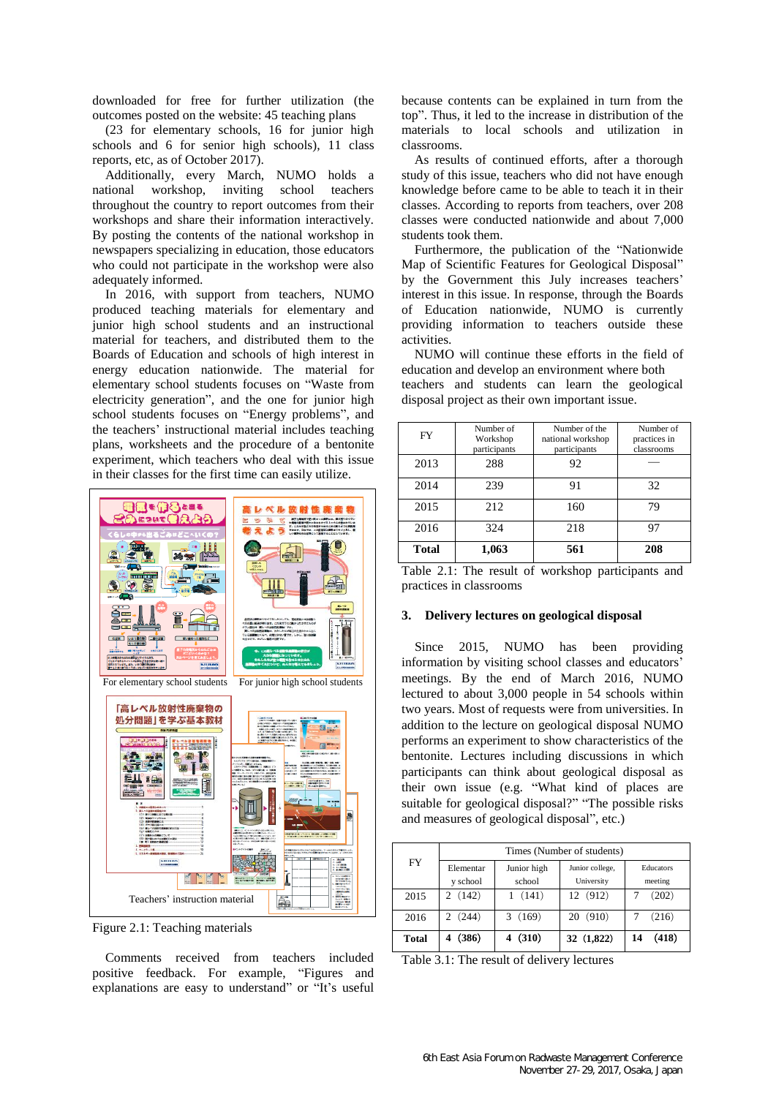downloaded for free for further utilization (the outcomes posted on the website: 45 teaching plans

(23 for elementary schools, 16 for junior high schools and 6 for senior high schools), 11 class reports, etc, as of October 2017).

Additionally, every March, NUMO holds a national workshop, inviting school teachers throughout the country to report outcomes from their workshops and share their information interactively. By posting the contents of the national workshop in newspapers specializing in education, those educators who could not participate in the workshop were also adequately informed.

In 2016, with support from teachers, NUMO produced teaching materials for elementary and junior high school students and an instructional material for teachers, and distributed them to the Boards of Education and schools of high interest in energy education nationwide. The material for elementary school students focuses on "Waste from electricity generation", and the one for junior high school students focuses on "Energy problems", and the teachers' instructional material includes teaching plans, worksheets and the procedure of a bentonite experiment, which teachers who deal with this issue in their classes for the first time can easily utilize.



Figure 2.1: Teaching materials

Comments received from teachers included positive feedback. For example, "Figures and explanations are easy to understand" or "It's useful because contents can be explained in turn from the top". Thus, it led to the increase in distribution of the materials to local schools and utilization in classrooms.

As results of continued efforts, after a thorough study of this issue, teachers who did not have enough knowledge before came to be able to teach it in their classes. According to reports from teachers, over 208 classes were conducted nationwide and about 7,000 students took them.

Furthermore, the publication of the "Nationwide Map of Scientific Features for Geological Disposal" by the Government this July increases teachers' interest in this issue. In response, through the Boards of Education nationwide, NUMO is currently providing information to teachers outside these activities.

NUMO will continue these efforts in the field of education and develop an environment where both teachers and students can learn the geological disposal project as their own important issue.

| FY           | Number of<br>Workshop<br>participants | Number of the<br>national workshop<br>participants | Number of<br>practices in<br>classrooms |
|--------------|---------------------------------------|----------------------------------------------------|-----------------------------------------|
| 2013         | 288                                   | 92                                                 |                                         |
| 2014         | 239                                   | 91                                                 | 32                                      |
| 2015         | 212                                   | 160                                                | 79                                      |
| 2016         | 324                                   | 218                                                | 97                                      |
| <b>Total</b> | 1,063                                 | 561                                                | 208                                     |

Table 2.1: The result of workshop participants and practices in classrooms

#### **3. Delivery lectures on geological disposal**

 Since 2015, NUMO has been providing information by visiting school classes and educators' meetings. By the end of March 2016, NUMO lectured to about 3,000 people in 54 schools within two years. Most of requests were from universities. In addition to the lecture on geological disposal NUMO performs an experiment to show characteristics of the bentonite. Lectures including discussions in which participants can think about geological disposal as their own issue (e.g. "What kind of places are suitable for geological disposal?" "The possible risks and measures of geological disposal", etc.)

| FY           | Times (Number of students) |                       |                               |                      |  |
|--------------|----------------------------|-----------------------|-------------------------------|----------------------|--|
|              | Elementar<br>y school      | Junior high<br>school | Junior college,<br>University | Educators<br>meeting |  |
| 2015         | (142)                      | (141)                 | 12 (912)                      | (202)                |  |
| 2016         | (244)                      | (169)                 | 20(910)                       | (216)                |  |
| <b>Total</b> | (386)                      | (310)                 | 32 (1,822)                    | (418)<br>14          |  |

Table 3.1: The result of delivery lectures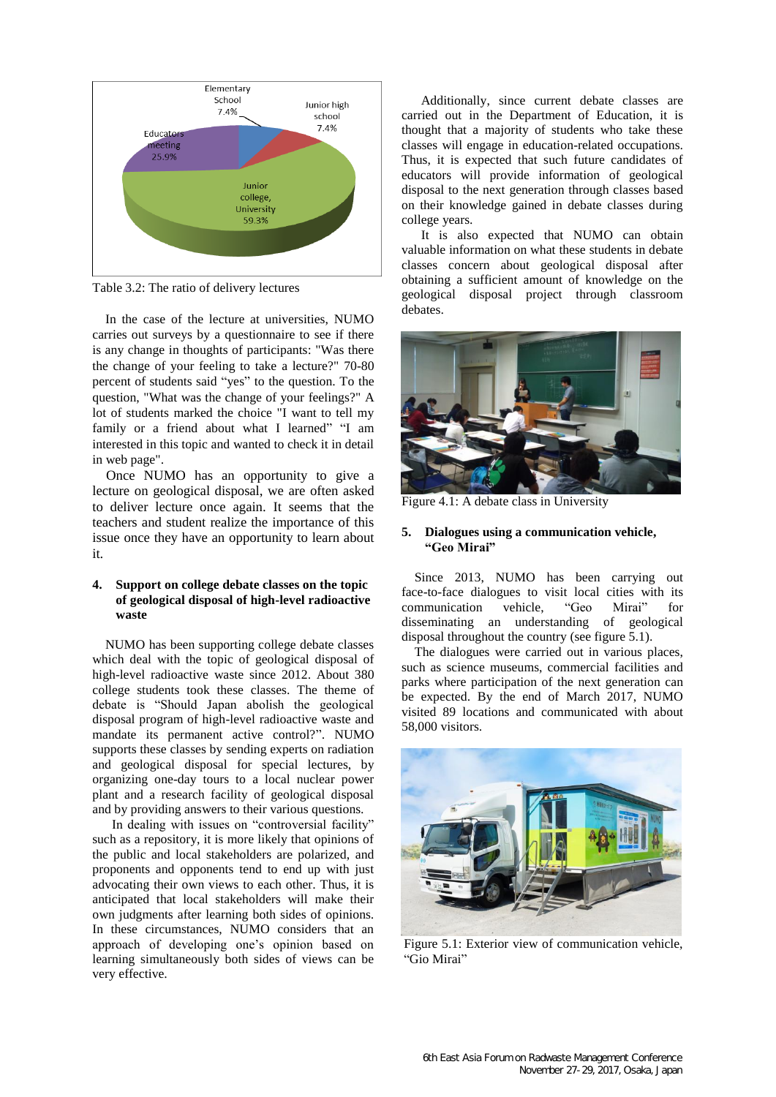

Table 3.2: The ratio of delivery lectures

In the case of the lecture at universities, NUMO carries out surveys by a questionnaire to see if there is any change in thoughts of participants: "Was there the change of your feeling to take a lecture?" 70-80 percent of students said "yes" to the question. To the question, "What was the change of your feelings?" A lot of students marked the choice "I want to tell my family or a friend about what I learned" "I am interested in this topic and wanted to check it in detail in web page".

 Once NUMO has an opportunity to give a lecture on geological disposal, we are often asked to deliver lecture once again. It seems that the teachers and student realize the importance of this issue once they have an opportunity to learn about it.

# **4. Support on college debate classes on the topic of geological disposal of high-level radioactive waste**

NUMO has been supporting college debate classes which deal with the topic of geological disposal of high-level radioactive waste since 2012. About 380 college students took these classes. The theme of debate is "Should Japan abolish the geological disposal program of high-level radioactive waste and mandate its permanent active control?". NUMO supports these classes by sending experts on radiation and geological disposal for special lectures, by organizing one-day tours to a local nuclear power plant and a research facility of geological disposal and by providing answers to their various questions.

In dealing with issues on "controversial facility" such as a repository, it is more likely that opinions of the public and local stakeholders are polarized, and proponents and opponents tend to end up with just advocating their own views to each other. Thus, it is anticipated that local stakeholders will make their own judgments after learning both sides of opinions. In these circumstances, NUMO considers that an approach of developing one's opinion based on learning simultaneously both sides of views can be very effective.

Additionally, since current debate classes are carried out in the Department of Education, it is thought that a majority of students who take these classes will engage in education-related occupations. Thus, it is expected that such future candidates of educators will provide information of geological disposal to the next generation through classes based on their knowledge gained in debate classes during college years.

It is also expected that NUMO can obtain valuable information on what these students in debate classes concern about geological disposal after obtaining a sufficient amount of knowledge on the geological disposal project through classroom debates.

![](_page_2_Picture_9.jpeg)

Figure 4.1: A debate class in University

# **5. Dialogues using a communication vehicle, "Geo Mirai"**

Since 2013, NUMO has been carrying out face-to-face dialogues to visit local cities with its communication vehicle, "Geo Mirai" for disseminating an understanding of geological disposal throughout the country (see figure 5.1).

The dialogues were carried out in various places, such as science museums, commercial facilities and parks where participation of the next generation can be expected. By the end of March 2017, NUMO visited 89 locations and communicated with about 58,000 visitors.

![](_page_2_Picture_14.jpeg)

Figure 5.1: Exterior view of communication vehicle, "Gio Mirai"